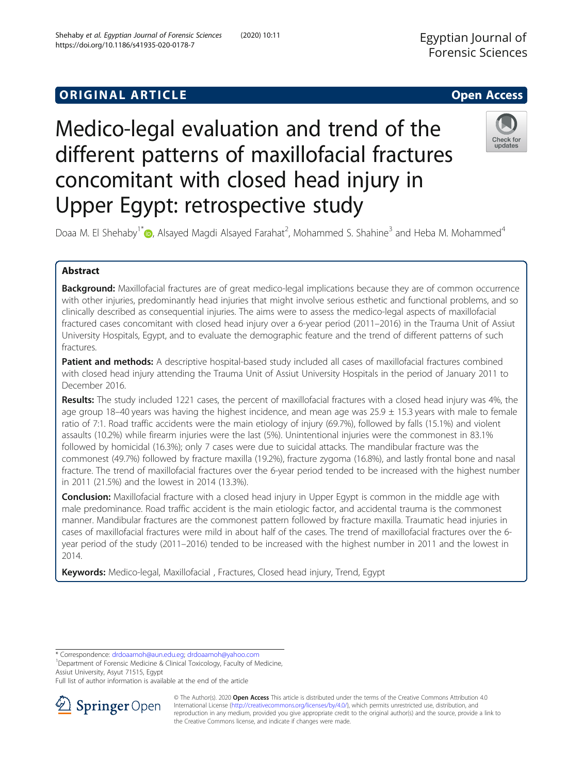# Medico-legal evaluation and trend of the different patterns of maxillofacial fractures concomitant with closed head injury in Upper Egypt: retrospective study



Doaa M. El Shehaby<sup>1[\\*](http://orcid.org/0000-0001-6027-2823)</sup> (**b**, Alsayed Magdi Alsayed Farahat<sup>2</sup>, Mohammed S. Shahine<sup>3</sup> and Heba M. Mohammed<sup>4</sup>

# Abstract

Background: Maxillofacial fractures are of great medico-legal implications because they are of common occurrence with other injuries, predominantly head injuries that might involve serious esthetic and functional problems, and so clinically described as consequential injuries. The aims were to assess the medico-legal aspects of maxillofacial fractured cases concomitant with closed head injury over a 6-year period (2011–2016) in the Trauma Unit of Assiut University Hospitals, Egypt, and to evaluate the demographic feature and the trend of different patterns of such fractures.

Patient and methods: A descriptive hospital-based study included all cases of maxillofacial fractures combined with closed head injury attending the Trauma Unit of Assiut University Hospitals in the period of January 2011 to December 2016.

Results: The study included 1221 cases, the percent of maxillofacial fractures with a closed head injury was 4%, the age group 18–40 years was having the highest incidence, and mean age was  $25.9 \pm 15.3$  years with male to female ratio of 7:1. Road traffic accidents were the main etiology of injury (69.7%), followed by falls (15.1%) and violent assaults (10.2%) while firearm injuries were the last (5%). Unintentional injuries were the commonest in 83.1% followed by homicidal (16.3%); only 7 cases were due to suicidal attacks. The mandibular fracture was the commonest (49.7%) followed by fracture maxilla (19.2%), fracture zygoma (16.8%), and lastly frontal bone and nasal fracture. The trend of maxillofacial fractures over the 6-year period tended to be increased with the highest number in 2011 (21.5%) and the lowest in 2014 (13.3%).

**Conclusion:** Maxillofacial fracture with a closed head injury in Upper Egypt is common in the middle age with male predominance. Road traffic accident is the main etiologic factor, and accidental trauma is the commonest manner. Mandibular fractures are the commonest pattern followed by fracture maxilla. Traumatic head injuries in cases of maxillofacial fractures were mild in about half of the cases. The trend of maxillofacial fractures over the 6 year period of the study (2011–2016) tended to be increased with the highest number in 2011 and the lowest in 2014.

Keywords: Medico-legal, Maxillofacial, Fractures, Closed head injury, Trend, Egypt

\* Correspondence: [drdoaamoh@aun.edu.eg;](mailto:drdoaamoh@aun.edu.eg) [drdoaamoh@yahoo.com](mailto:drdoaamoh@yahoo.com) <sup>1</sup>

<sup>1</sup>Department of Forensic Medicine & Clinical Toxicology, Faculty of Medicine, Assiut University, Asyut 71515, Egypt

Full list of author information is available at the end of the article



© The Author(s). 2020 Open Access This article is distributed under the terms of the Creative Commons Attribution 4.0 International License ([http://creativecommons.org/licenses/by/4.0/\)](http://creativecommons.org/licenses/by/4.0/), which permits unrestricted use, distribution, and reproduction in any medium, provided you give appropriate credit to the original author(s) and the source, provide a link to the Creative Commons license, and indicate if changes were made.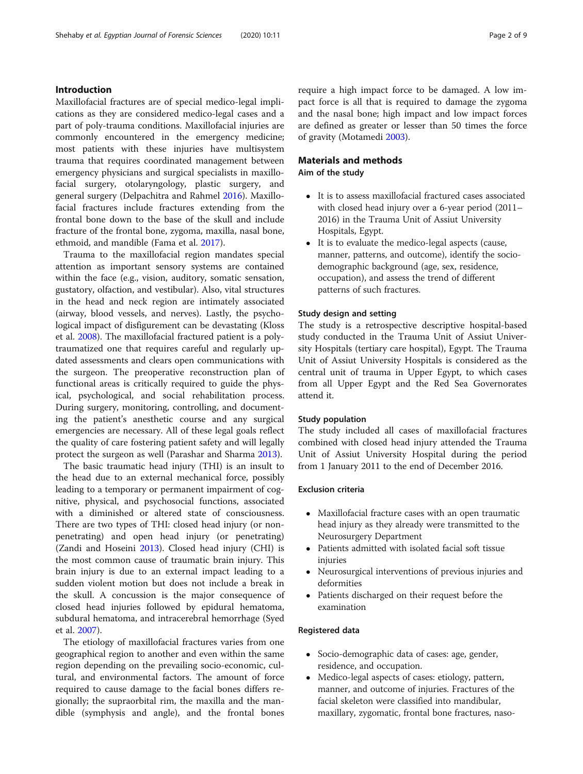# Introduction

Maxillofacial fractures are of special medico-legal implications as they are considered medico-legal cases and a part of poly-trauma conditions. Maxillofacial injuries are commonly encountered in the emergency medicine; most patients with these injuries have multisystem trauma that requires coordinated management between emergency physicians and surgical specialists in maxillofacial surgery, otolaryngology, plastic surgery, and general surgery (Delpachitra and Rahmel [2016\)](#page-8-0). Maxillofacial fractures include fractures extending from the frontal bone down to the base of the skull and include fracture of the frontal bone, zygoma, maxilla, nasal bone, ethmoid, and mandible (Fama et al. [2017\)](#page-8-0).

Trauma to the maxillofacial region mandates special attention as important sensory systems are contained within the face (e.g., vision, auditory, somatic sensation, gustatory, olfaction, and vestibular). Also, vital structures in the head and neck region are intimately associated (airway, blood vessels, and nerves). Lastly, the psychological impact of disfigurement can be devastating (Kloss et al. [2008](#page-8-0)). The maxillofacial fractured patient is a polytraumatized one that requires careful and regularly updated assessments and clears open communications with the surgeon. The preoperative reconstruction plan of functional areas is critically required to guide the physical, psychological, and social rehabilitation process. During surgery, monitoring, controlling, and documenting the patient's anesthetic course and any surgical emergencies are necessary. All of these legal goals reflect the quality of care fostering patient safety and will legally protect the surgeon as well (Parashar and Sharma [2013](#page-8-0)).

The basic traumatic head injury (THI) is an insult to the head due to an external mechanical force, possibly leading to a temporary or permanent impairment of cognitive, physical, and psychosocial functions, associated with a diminished or altered state of consciousness. There are two types of THI: closed head injury (or nonpenetrating) and open head injury (or penetrating) (Zandi and Hoseini [2013\)](#page-8-0). Closed head injury (CHI) is the most common cause of traumatic brain injury. This brain injury is due to an external impact leading to a sudden violent motion but does not include a break in the skull. A concussion is the major consequence of closed head injuries followed by epidural hematoma, subdural hematoma, and intracerebral hemorrhage (Syed et al. [2007\)](#page-8-0).

The etiology of maxillofacial fractures varies from one geographical region to another and even within the same region depending on the prevailing socio-economic, cultural, and environmental factors. The amount of force required to cause damage to the facial bones differs regionally; the supraorbital rim, the maxilla and the mandible (symphysis and angle), and the frontal bones require a high impact force to be damaged. A low impact force is all that is required to damage the zygoma and the nasal bone; high impact and low impact forces are defined as greater or lesser than 50 times the force of gravity (Motamedi [2003\)](#page-8-0).

# Materials and methods Aim of the study

- It is to assess maxillofacial fractured cases associated with closed head injury over a 6-year period (2011– 2016) in the Trauma Unit of Assiut University Hospitals, Egypt.
- It is to evaluate the medico-legal aspects (cause, manner, patterns, and outcome), identify the sociodemographic background (age, sex, residence, occupation), and assess the trend of different patterns of such fractures.

#### Study design and setting

The study is a retrospective descriptive hospital-based study conducted in the Trauma Unit of Assiut University Hospitals (tertiary care hospital), Egypt. The Trauma Unit of Assiut University Hospitals is considered as the central unit of trauma in Upper Egypt, to which cases from all Upper Egypt and the Red Sea Governorates attend it.

### Study population

The study included all cases of maxillofacial fractures combined with closed head injury attended the Trauma Unit of Assiut University Hospital during the period from 1 January 2011 to the end of December 2016.

#### Exclusion criteria

- Maxillofacial fracture cases with an open traumatic head injury as they already were transmitted to the Neurosurgery Department
- Patients admitted with isolated facial soft tissue injuries
- Neurosurgical interventions of previous injuries and deformities
- Patients discharged on their request before the examination

#### Registered data

- Socio-demographic data of cases: age, gender, residence, and occupation.
- Medico-legal aspects of cases: etiology, pattern, manner, and outcome of injuries. Fractures of the facial skeleton were classified into mandibular, maxillary, zygomatic, frontal bone fractures, naso-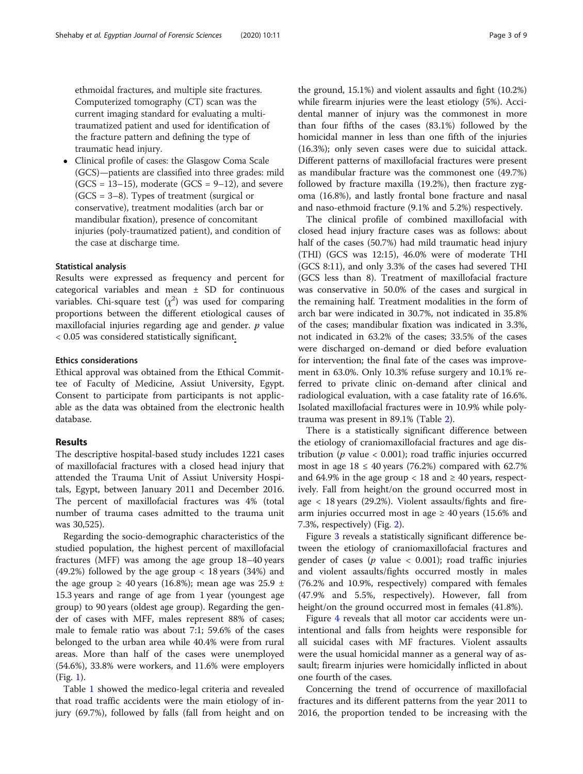ethmoidal fractures, and multiple site fractures. Computerized tomography (CT) scan was the current imaging standard for evaluating a multitraumatized patient and used for identification of the fracture pattern and defining the type of traumatic head injury.

 Clinical profile of cases: the Glasgow Coma Scale (GCS)—patients are classified into three grades: mild  $(GCS = 13-15)$ , moderate  $(GCS = 9-12)$ , and severe (GCS = 3–8). Types of treatment (surgical or conservative), treatment modalities (arch bar or mandibular fixation), presence of concomitant injuries (poly-traumatized patient), and condition of the case at discharge time.

### Statistical analysis

Results were expressed as frequency and percent for categorical variables and mean ± SD for continuous variables. Chi-square test  $(\chi^2)$  was used for comparing proportions between the different etiological causes of maxillofacial injuries regarding age and gender.  $p$  value < 0.05 was considered statistically significant.

#### Ethics considerations

Ethical approval was obtained from the Ethical Committee of Faculty of Medicine, Assiut University, Egypt. Consent to participate from participants is not applicable as the data was obtained from the electronic health database.

# Results

The descriptive hospital-based study includes 1221 cases of maxillofacial fractures with a closed head injury that attended the Trauma Unit of Assiut University Hospitals, Egypt, between January 2011 and December 2016. The percent of maxillofacial fractures was 4% (total number of trauma cases admitted to the trauma unit was 30,525).

Regarding the socio-demographic characteristics of the studied population, the highest percent of maxillofacial fractures (MFF) was among the age group 18–40 years (49.2%) followed by the age group < 18 years (34%) and the age group  $\geq$  40 years (16.8%); mean age was 25.9  $\pm$ 15.3 years and range of age from 1 year (youngest age group) to 90 years (oldest age group). Regarding the gender of cases with MFF, males represent 88% of cases; male to female ratio was about 7:1; 59.6% of the cases belonged to the urban area while 40.4% were from rural areas. More than half of the cases were unemployed (54.6%), 33.8% were workers, and 11.6% were employers (Fig. [1](#page-3-0)).

Table [1](#page-3-0) showed the medico-legal criteria and revealed that road traffic accidents were the main etiology of injury (69.7%), followed by falls (fall from height and on the ground, 15.1%) and violent assaults and fight (10.2%) while firearm injuries were the least etiology (5%). Accidental manner of injury was the commonest in more than four fifths of the cases (83.1%) followed by the homicidal manner in less than one fifth of the injuries (16.3%); only seven cases were due to suicidal attack. Different patterns of maxillofacial fractures were present as mandibular fracture was the commonest one (49.7%) followed by fracture maxilla (19.2%), then fracture zygoma (16.8%), and lastly frontal bone fracture and nasal and naso-ethmoid fracture (9.1% and 5.2%) respectively.

The clinical profile of combined maxillofacial with closed head injury fracture cases was as follows: about half of the cases (50.7%) had mild traumatic head injury (THI) (GCS was 12:15), 46.0% were of moderate THI (GCS 8:11), and only 3.3% of the cases had severed THI (GCS less than 8). Treatment of maxillofacial fracture was conservative in 50.0% of the cases and surgical in the remaining half. Treatment modalities in the form of arch bar were indicated in 30.7%, not indicated in 35.8% of the cases; mandibular fixation was indicated in 3.3%, not indicated in 63.2% of the cases; 33.5% of the cases were discharged on-demand or died before evaluation for intervention; the final fate of the cases was improvement in 63.0%. Only 10.3% refuse surgery and 10.1% referred to private clinic on-demand after clinical and radiological evaluation, with a case fatality rate of 16.6%. Isolated maxillofacial fractures were in 10.9% while polytrauma was present in 89.1% (Table [2](#page-4-0)).

There is a statistically significant difference between the etiology of craniomaxillofacial fractures and age distribution ( $p$  value < 0.001); road traffic injuries occurred most in age  $18 \le 40$  years (76.2%) compared with 62.7% and 64.9% in the age group  $<$  18 and  $\geq$  40 years, respectively. Fall from height/on the ground occurred most in age < 18 years (29.2%). Violent assaults/fights and firearm injuries occurred most in age  $\geq$  40 years (15.6% and 7.3%, respectively) (Fig. [2\)](#page-4-0).

Figure [3](#page-5-0) reveals a statistically significant difference between the etiology of craniomaxillofacial fractures and gender of cases ( $p$  value < 0.001); road traffic injuries and violent assaults/fights occurred mostly in males (76.2% and 10.9%, respectively) compared with females (47.9% and 5.5%, respectively). However, fall from height/on the ground occurred most in females (41.8%).

Figure [4](#page-5-0) reveals that all motor car accidents were unintentional and falls from heights were responsible for all suicidal cases with MF fractures. Violent assaults were the usual homicidal manner as a general way of assault; firearm injuries were homicidally inflicted in about one fourth of the cases.

Concerning the trend of occurrence of maxillofacial fractures and its different patterns from the year 2011 to 2016, the proportion tended to be increasing with the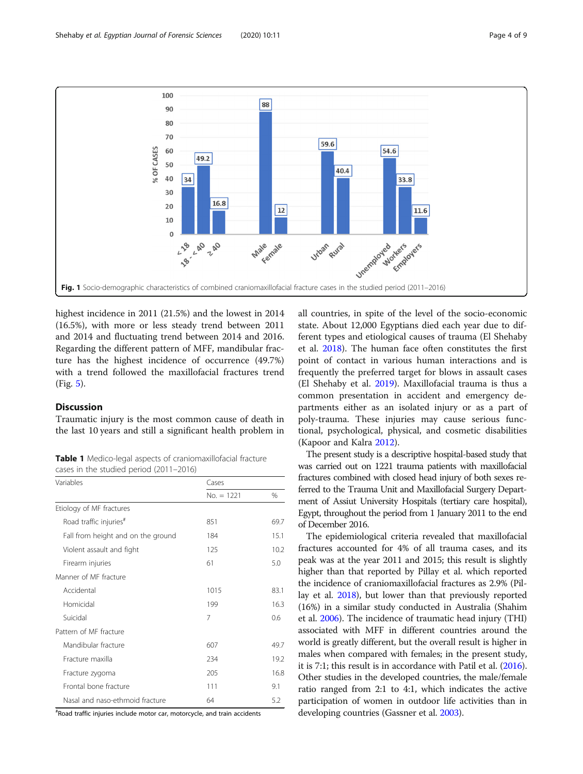<span id="page-3-0"></span>

highest incidence in 2011 (21.5%) and the lowest in 2014 (16.5%), with more or less steady trend between 2011 and 2014 and fluctuating trend between 2014 and 2016. Regarding the different pattern of MFF, mandibular fracture has the highest incidence of occurrence (49.7%) with a trend followed the maxillofacial fractures trend (Fig. [5](#page-6-0)).

# **Discussion**

Traumatic injury is the most common cause of death in the last 10 years and still a significant health problem in

Table 1 Medico-legal aspects of craniomaxillofacial fracture cases in the studied period (2011–2016)

| Variables                          | Cases        |      |
|------------------------------------|--------------|------|
|                                    | $No. = 1221$ | $\%$ |
| Etiology of MF fractures           |              |      |
| Road traffic injuries <sup>#</sup> | 851          | 69.7 |
| Fall from height and on the ground | 184          | 15.1 |
| Violent assault and fight          | 125          | 10.2 |
| Firearm injuries                   | 61           | 5.0  |
| Manner of MF fracture              |              |      |
| Accidental                         | 1015         | 83.1 |
| Homicidal                          | 199          | 16.3 |
| Suicidal                           | 7            | 0.6  |
| Pattern of MF fracture             |              |      |
| Mandibular fracture                | 607          | 49.7 |
| Fracture maxilla                   | 234          | 19.2 |
| Fracture zygoma                    | 205          | 16.8 |
| Frontal bone fracture              | 111          | 9.1  |
| Nasal and naso-ethmoid fracture    | 64           | 5.2  |

# Road traffic injuries include motor car, motorcycle, and train accidents

all countries, in spite of the level of the socio-economic state. About 12,000 Egyptians died each year due to different types and etiological causes of trauma (El Shehaby et al. [2018](#page-8-0)). The human face often constitutes the first point of contact in various human interactions and is frequently the preferred target for blows in assault cases (El Shehaby et al. [2019\)](#page-8-0). Maxillofacial trauma is thus a common presentation in accident and emergency departments either as an isolated injury or as a part of poly-trauma. These injuries may cause serious functional, psychological, physical, and cosmetic disabilities (Kapoor and Kalra [2012](#page-8-0)).

The present study is a descriptive hospital-based study that was carried out on 1221 trauma patients with maxillofacial fractures combined with closed head injury of both sexes referred to the Trauma Unit and Maxillofacial Surgery Department of Assiut University Hospitals (tertiary care hospital), Egypt, throughout the period from 1 January 2011 to the end of December 2016.

The epidemiological criteria revealed that maxillofacial fractures accounted for 4% of all trauma cases, and its peak was at the year 2011 and 2015; this result is slightly higher than that reported by Pillay et al. which reported the incidence of craniomaxillofacial fractures as 2.9% (Pillay et al. [2018](#page-8-0)), but lower than that previously reported (16%) in a similar study conducted in Australia (Shahim et al. [2006](#page-8-0)). The incidence of traumatic head injury (THI) associated with MFF in different countries around the world is greatly different, but the overall result is higher in males when compared with females; in the present study, it is 7:1; this result is in accordance with Patil et al. [\(2016](#page-8-0)). Other studies in the developed countries, the male/female ratio ranged from 2:1 to 4:1, which indicates the active participation of women in outdoor life activities than in developing countries (Gassner et al. [2003\)](#page-8-0).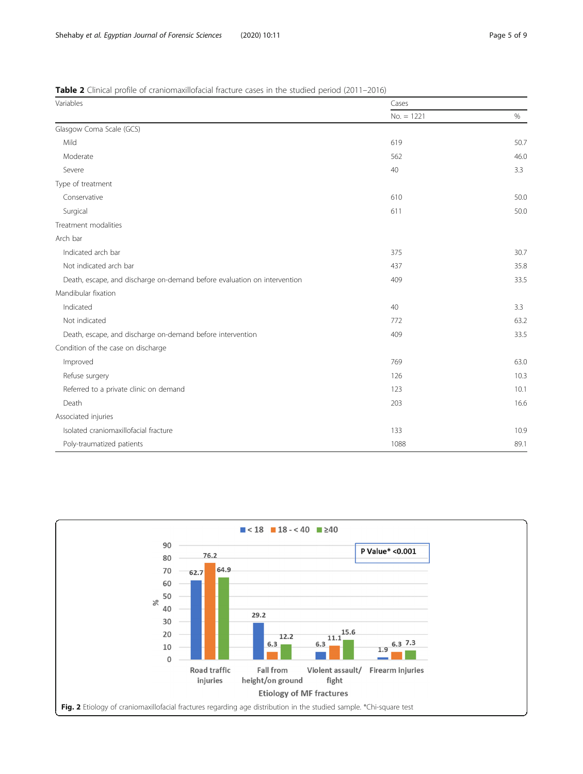<span id="page-4-0"></span>

|  |  | <b>Table 2</b> Clinical profile of craniomaxillofacial fracture cases in the studied period (2011–2016) |  |
|--|--|---------------------------------------------------------------------------------------------------------|--|
|--|--|---------------------------------------------------------------------------------------------------------|--|

| Variables                                                                | Cases        |      |
|--------------------------------------------------------------------------|--------------|------|
|                                                                          | $No. = 1221$ | $\%$ |
| Glasgow Coma Scale (GCS)                                                 |              |      |
| Mild                                                                     | 619          | 50.7 |
| Moderate                                                                 | 562          | 46.0 |
| Severe                                                                   | 40           | 3.3  |
| Type of treatment                                                        |              |      |
| Conservative                                                             | 610          | 50.0 |
| Surgical                                                                 | 611          | 50.0 |
| Treatment modalities                                                     |              |      |
| Arch bar                                                                 |              |      |
| Indicated arch bar                                                       | 375          | 30.7 |
| Not indicated arch bar                                                   | 437          | 35.8 |
| Death, escape, and discharge on-demand before evaluation on intervention | 409          | 33.5 |
| Mandibular fixation                                                      |              |      |
| Indicated                                                                | 40           | 3.3  |
| Not indicated                                                            | 772          | 63.2 |
| Death, escape, and discharge on-demand before intervention               | 409          | 33.5 |
| Condition of the case on discharge                                       |              |      |
| Improved                                                                 | 769          | 63.0 |
| Refuse surgery                                                           | 126          | 10.3 |
| Referred to a private clinic on demand                                   | 123          | 10.1 |
| Death                                                                    | 203          | 16.6 |
| Associated injuries                                                      |              |      |
| Isolated craniomaxillofacial fracture                                    | 133          | 10.9 |
| Poly-traumatized patients                                                | 1088         | 89.1 |

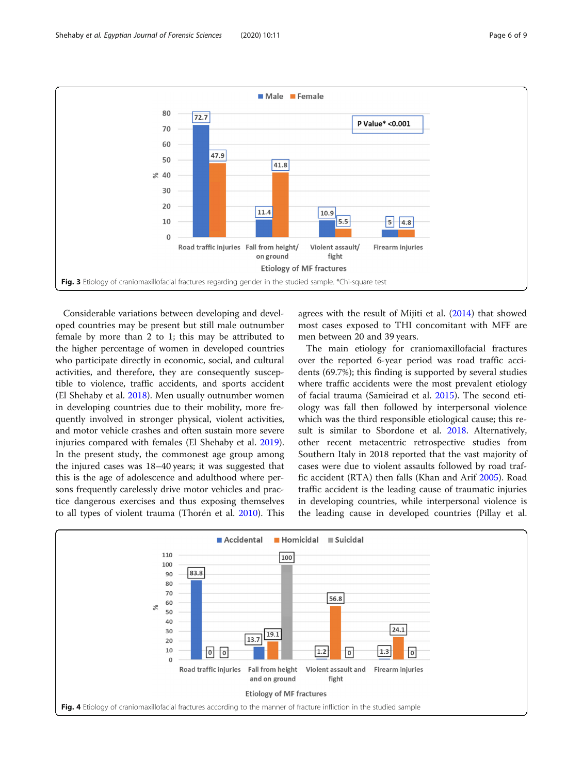<span id="page-5-0"></span>

Considerable variations between developing and developed countries may be present but still male outnumber female by more than 2 to 1; this may be attributed to the higher percentage of women in developed countries who participate directly in economic, social, and cultural activities, and therefore, they are consequently susceptible to violence, traffic accidents, and sports accident (El Shehaby et al. [2018](#page-8-0)). Men usually outnumber women in developing countries due to their mobility, more frequently involved in stronger physical, violent activities, and motor vehicle crashes and often sustain more severe injuries compared with females (El Shehaby et al. [2019](#page-8-0)). In the present study, the commonest age group among the injured cases was 18–40 years; it was suggested that this is the age of adolescence and adulthood where persons frequently carelessly drive motor vehicles and practice dangerous exercises and thus exposing themselves to all types of violent trauma (Thorén et al. [2010](#page-8-0)). This agrees with the result of Mijiti et al. [\(2014\)](#page-8-0) that showed most cases exposed to THI concomitant with MFF are men between 20 and 39 years.

The main etiology for craniomaxillofacial fractures over the reported 6-year period was road traffic accidents (69.7%); this finding is supported by several studies where traffic accidents were the most prevalent etiology of facial trauma (Samieirad et al. [2015](#page-8-0)). The second etiology was fall then followed by interpersonal violence which was the third responsible etiological cause; this result is similar to Sbordone et al. [2018.](#page-8-0) Alternatively, other recent metacentric retrospective studies from Southern Italy in 2018 reported that the vast majority of cases were due to violent assaults followed by road traffic accident (RTA) then falls (Khan and Arif [2005](#page-8-0)). Road traffic accident is the leading cause of traumatic injuries in developing countries, while interpersonal violence is the leading cause in developed countries (Pillay et al.

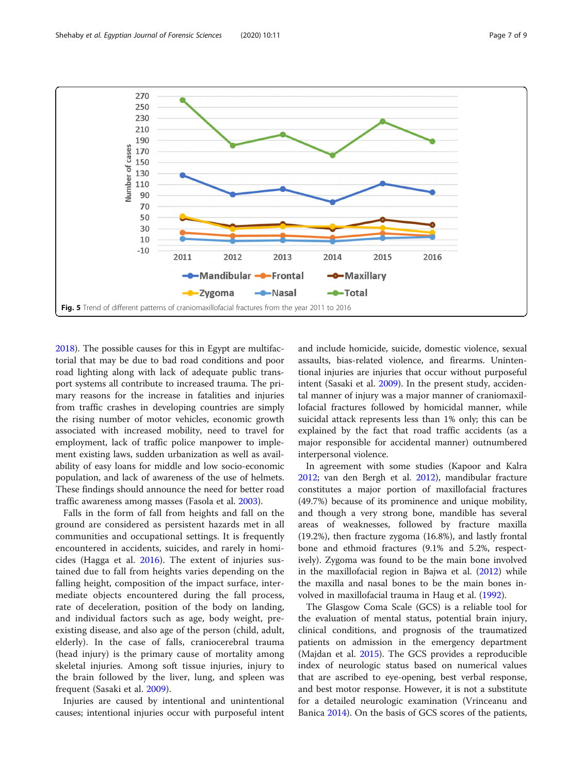<span id="page-6-0"></span>

[2018](#page-8-0)). The possible causes for this in Egypt are multifactorial that may be due to bad road conditions and poor road lighting along with lack of adequate public transport systems all contribute to increased trauma. The primary reasons for the increase in fatalities and injuries from traffic crashes in developing countries are simply the rising number of motor vehicles, economic growth associated with increased mobility, need to travel for employment, lack of traffic police manpower to implement existing laws, sudden urbanization as well as availability of easy loans for middle and low socio-economic population, and lack of awareness of the use of helmets. These findings should announce the need for better road traffic awareness among masses (Fasola et al. [2003](#page-8-0)).

Falls in the form of fall from heights and fall on the ground are considered as persistent hazards met in all communities and occupational settings. It is frequently encountered in accidents, suicides, and rarely in homicides (Hagga et al. [2016](#page-8-0)). The extent of injuries sustained due to fall from heights varies depending on the falling height, composition of the impact surface, intermediate objects encountered during the fall process, rate of deceleration, position of the body on landing, and individual factors such as age, body weight, preexisting disease, and also age of the person (child, adult, elderly). In the case of falls, craniocerebral trauma (head injury) is the primary cause of mortality among skeletal injuries. Among soft tissue injuries, injury to the brain followed by the liver, lung, and spleen was frequent (Sasaki et al. [2009\)](#page-8-0).

Injuries are caused by intentional and unintentional causes; intentional injuries occur with purposeful intent and include homicide, suicide, domestic violence, sexual assaults, bias-related violence, and firearms. Unintentional injuries are injuries that occur without purposeful intent (Sasaki et al. [2009\)](#page-8-0). In the present study, accidental manner of injury was a major manner of craniomaxillofacial fractures followed by homicidal manner, while suicidal attack represents less than 1% only; this can be explained by the fact that road traffic accidents (as a major responsible for accidental manner) outnumbered interpersonal violence.

In agreement with some studies (Kapoor and Kalra [2012](#page-8-0); van den Bergh et al. [2012\)](#page-8-0), mandibular fracture constitutes a major portion of maxillofacial fractures (49.7%) because of its prominence and unique mobility, and though a very strong bone, mandible has several areas of weaknesses, followed by fracture maxilla (19.2%), then fracture zygoma (16.8%), and lastly frontal bone and ethmoid fractures (9.1% and 5.2%, respectively). Zygoma was found to be the main bone involved in the maxillofacial region in Bajwa et al. ([2012](#page-8-0)) while the maxilla and nasal bones to be the main bones involved in maxillofacial trauma in Haug et al. ([1992](#page-8-0)).

The Glasgow Coma Scale (GCS) is a reliable tool for the evaluation of mental status, potential brain injury, clinical conditions, and prognosis of the traumatized patients on admission in the emergency department (Majdan et al. [2015](#page-8-0)). The GCS provides a reproducible index of neurologic status based on numerical values that are ascribed to eye-opening, best verbal response, and best motor response. However, it is not a substitute for a detailed neurologic examination (Vrinceanu and Banica [2014](#page-8-0)). On the basis of GCS scores of the patients,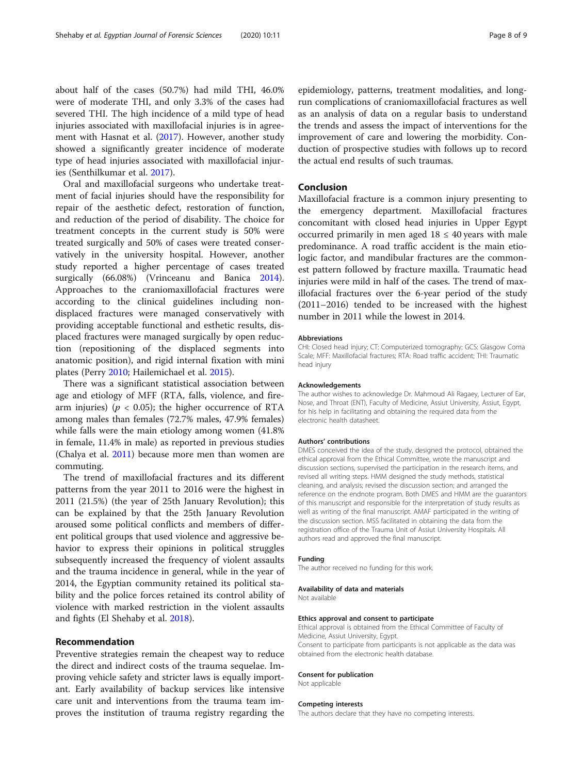about half of the cases (50.7%) had mild THI, 46.0% were of moderate THI, and only 3.3% of the cases had severed THI. The high incidence of a mild type of head injuries associated with maxillofacial injuries is in agreement with Hasnat et al. ([2017](#page-8-0)). However, another study showed a significantly greater incidence of moderate type of head injuries associated with maxillofacial injuries (Senthilkumar et al. [2017\)](#page-8-0).

Oral and maxillofacial surgeons who undertake treatment of facial injuries should have the responsibility for repair of the aesthetic defect, restoration of function, and reduction of the period of disability. The choice for treatment concepts in the current study is 50% were treated surgically and 50% of cases were treated conservatively in the university hospital. However, another study reported a higher percentage of cases treated surgically (66.08%) (Vrinceanu and Banica [2014](#page-8-0)). Approaches to the craniomaxillofacial fractures were according to the clinical guidelines including nondisplaced fractures were managed conservatively with providing acceptable functional and esthetic results, displaced fractures were managed surgically by open reduction (repositioning of the displaced segments into anatomic position), and rigid internal fixation with mini plates (Perry [2010;](#page-8-0) Hailemichael et al. [2015](#page-8-0)).

There was a significant statistical association between age and etiology of MFF (RTA, falls, violence, and firearm injuries) ( $p < 0.05$ ); the higher occurrence of RTA among males than females (72.7% males, 47.9% females) while falls were the main etiology among women (41.8% in female, 11.4% in male) as reported in previous studies (Chalya et al. [2011](#page-8-0)) because more men than women are commuting.

The trend of maxillofacial fractures and its different patterns from the year 2011 to 2016 were the highest in 2011 (21.5%) (the year of 25th January Revolution); this can be explained by that the 25th January Revolution aroused some political conflicts and members of different political groups that used violence and aggressive behavior to express their opinions in political struggles subsequently increased the frequency of violent assaults and the trauma incidence in general, while in the year of 2014, the Egyptian community retained its political stability and the police forces retained its control ability of violence with marked restriction in the violent assaults and fights (El Shehaby et al. [2018](#page-8-0)).

# Recommendation

Preventive strategies remain the cheapest way to reduce the direct and indirect costs of the trauma sequelae. Improving vehicle safety and stricter laws is equally important. Early availability of backup services like intensive care unit and interventions from the trauma team improves the institution of trauma registry regarding the epidemiology, patterns, treatment modalities, and longrun complications of craniomaxillofacial fractures as well as an analysis of data on a regular basis to understand the trends and assess the impact of interventions for the improvement of care and lowering the morbidity. Conduction of prospective studies with follows up to record the actual end results of such traumas.

# Conclusion

Maxillofacial fracture is a common injury presenting to the emergency department. Maxillofacial fractures concomitant with closed head injuries in Upper Egypt occurred primarily in men aged  $18 \leq 40$  years with male predominance. A road traffic accident is the main etiologic factor, and mandibular fractures are the commonest pattern followed by fracture maxilla. Traumatic head injuries were mild in half of the cases. The trend of maxillofacial fractures over the 6-year period of the study (2011–2016) tended to be increased with the highest number in 2011 while the lowest in 2014.

#### Abbreviations

CHI: Closed head injury; CT: Computerized tomography; GCS: Glasgow Coma Scale; MFF: Maxillofacial fractures; RTA: Road traffic accident; THI: Traumatic head injury

#### Acknowledgements

The author wishes to acknowledge Dr. Mahmoud Ali Ragaey, Lecturer of Ear, Nose, and Throat (ENT), Faculty of Medicine, Assiut University, Assiut, Egypt, for his help in facilitating and obtaining the required data from the electronic health datasheet.

#### Authors' contributions

DMES conceived the idea of the study, designed the protocol, obtained the ethical approval from the Ethical Committee, wrote the manuscript and discussion sections, supervised the participation in the research items, and revised all writing steps. HMM designed the study methods, statistical cleaning, and analysis; revised the discussion section; and arranged the reference on the endnote program. Both DMES and HMM are the guarantors of this manuscript and responsible for the interpretation of study results as well as writing of the final manuscript. AMAF participated in the writing of the discussion section. MSS facilitated in obtaining the data from the registration office of the Trauma Unit of Assiut University Hospitals. All authors read and approved the final manuscript.

#### Funding

The author received no funding for this work.

#### Availability of data and materials

Not available

#### Ethics approval and consent to participate

Ethical approval is obtained from the Ethical Committee of Faculty of Medicine, Assiut University, Egypt. Consent to participate from participants is not applicable as the data was obtained from the electronic health database.

#### Consent for publication

Not applicable

#### Competing interests

The authors declare that they have no competing interests.